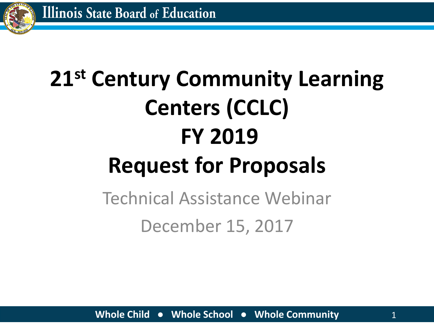

# **21st Century Community Learning Centers (CCLC) FY 2019 Request for Proposals**

### Technical Assistance Webinar December 15, 2017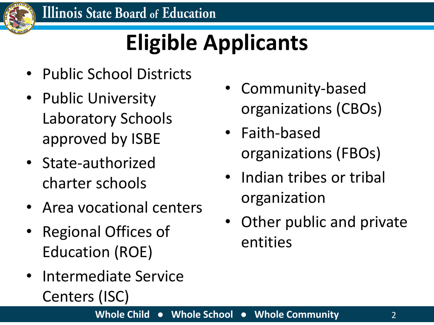

# **Eligible Applicants**

- Public School Districts
- Public University Laboratory Schools approved by ISBE
- State-authorized charter schools
- Area vocational centers
- Regional Offices of Education (ROE)
- Intermediate Service Centers (ISC)
- Community-based organizations (CBOs)
- Faith-based organizations (FBOs)
- Indian tribes or tribal organization
- Other public and private entities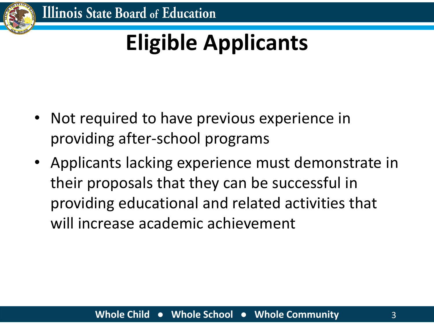

# **Eligible Applicants**

- Not required to have previous experience in providing after-school programs
- Applicants lacking experience must demonstrate in their proposals that they can be successful in providing educational and related activities that will increase academic achievement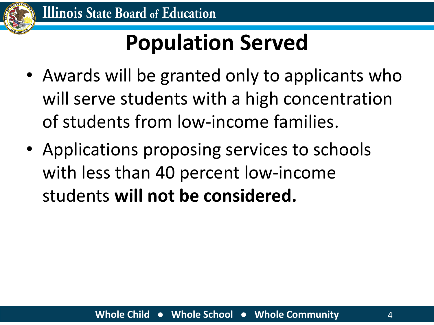

# **Population Served**

- Awards will be granted only to applicants who will serve students with a high concentration of students from low-income families.
- Applications proposing services to schools with less than 40 percent low-income students **will not be considered.**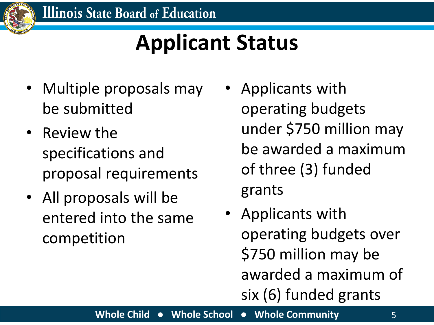

### **Applicant Status**

- Multiple proposals may be submitted
- Review the specifications and proposal requirements
- All proposals will be entered into the same competition
- Applicants with operating budgets under \$750 million may be awarded a maximum of three (3) funded grants
- Applicants with operating budgets over \$750 million may be awarded a maximum of six (6) funded grants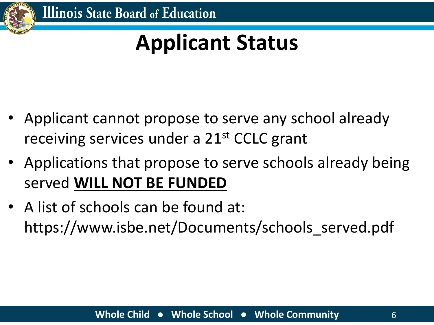

### **Applicant Status**

- Applicant cannot propose to serve any school already receiving services under a 21<sup>st</sup> CCLC grant
- Applications that propose to serve schools already being served **WILL NOT BE FUNDED**
- A list of schools can be found at: https://www.isbe.net/Documents/schools\_served.pdf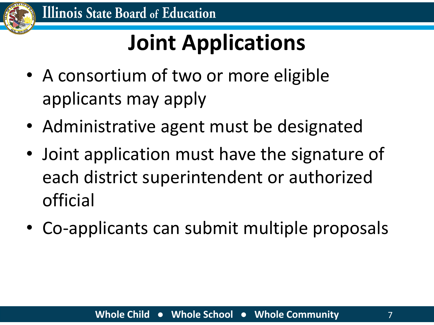

# **Joint Applications**

- A consortium of two or more eligible applicants may apply
- Administrative agent must be designated
- Joint application must have the signature of each district superintendent or authorized official
- Co-applicants can submit multiple proposals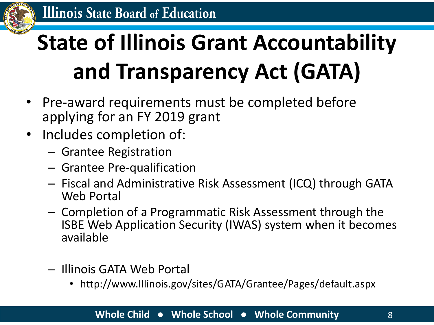

# **State of Illinois Grant Accountability and Transparency Act (GATA)**

- Pre-award requirements must be completed before applying for an FY 2019 grant
- Includes completion of:
	- Grantee Registration
	- Grantee Pre-qualification
	- Fiscal and Administrative Risk Assessment (ICQ) through GATA Web Portal
	- Completion of a Programmatic Risk Assessment through the ISBE Web Application Security (IWAS) system when it becomes available
	- Illinois GATA Web Portal
		- http://www.Illinois.gov/sites/GATA/Grantee/Pages/default.aspx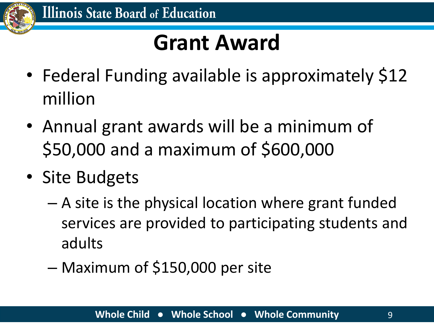

### **Grant Award**

- Federal Funding available is approximately \$12 million
- Annual grant awards will be a minimum of \$50,000 and a maximum of \$600,000
- Site Budgets
	- A site is the physical location where grant funded services are provided to participating students and adults
	- Maximum of \$150,000 per site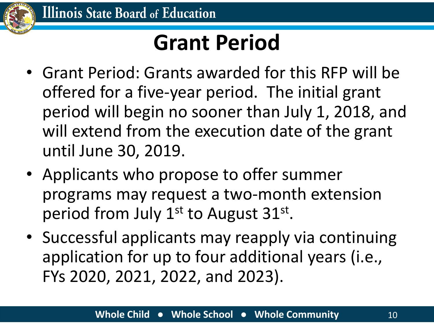

### **Grant Period**

- Grant Period: Grants awarded for this RFP will be offered for a five-year period. The initial grant period will begin no sooner than July 1, 2018, and will extend from the execution date of the grant until June 30, 2019.
- Applicants who propose to offer summer programs may request a two-month extension period from July 1<sup>st</sup> to August 31<sup>st</sup>.
- Successful applicants may reapply via continuing application for up to four additional years (i.e., FYs 2020, 2021, 2022, and 2023).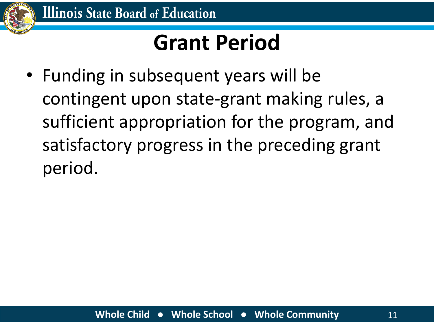

### **Grant Period**

• Funding in subsequent years will be contingent upon state-grant making rules, a sufficient appropriation for the program, and satisfactory progress in the preceding grant period.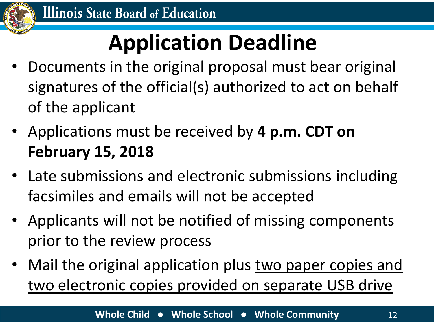

# **Application Deadline**

- Documents in the original proposal must bear original signatures of the official(s) authorized to act on behalf of the applicant
- Applications must be received by **4 p.m. CDT on February 15, 2018**
- Late submissions and electronic submissions including facsimiles and emails will not be accepted
- Applicants will not be notified of missing components prior to the review process
- Mail the original application plus two paper copies and two electronic copies provided on separate USB drive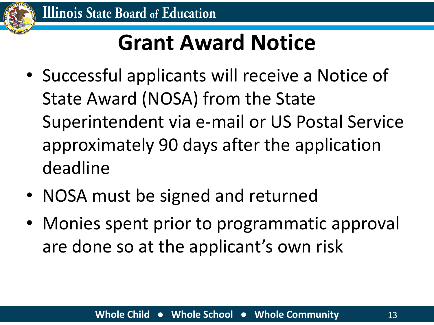

# **Grant Award Notice**

- Successful applicants will receive a Notice of State Award (NOSA) from the State Superintendent via e-mail or US Postal Service approximately 90 days after the application deadline
- NOSA must be signed and returned
- Monies spent prior to programmatic approval are done so at the applicant's own risk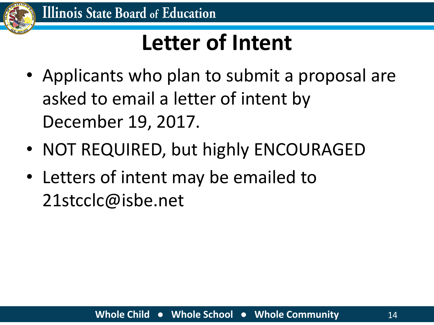

### **Letter of Intent**

- Applicants who plan to submit a proposal are asked to email a letter of intent by December 19, 2017.
- NOT REQUIRED, but highly ENCOURAGED
- Letters of intent may be emailed to 21stcclc@isbe.net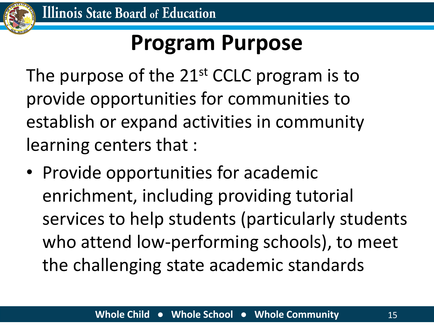

### **Program Purpose**

The purpose of the 21<sup>st</sup> CCLC program is to provide opportunities for communities to establish or expand activities in community learning centers that :

• Provide opportunities for academic enrichment, including providing tutorial services to help students (particularly students who attend low-performing schools), to meet the challenging state academic standards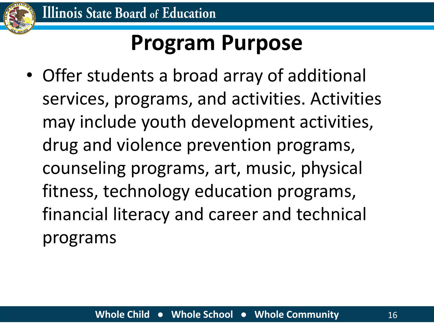

### **Program Purpose**

• Offer students a broad array of additional services, programs, and activities. Activities may include youth development activities, drug and violence prevention programs, counseling programs, art, music, physical fitness, technology education programs, financial literacy and career and technical programs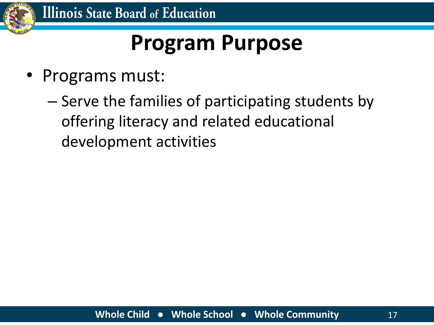

### **Program Purpose**

- Programs must:
	- Serve the families of participating students by offering literacy and related educational development activities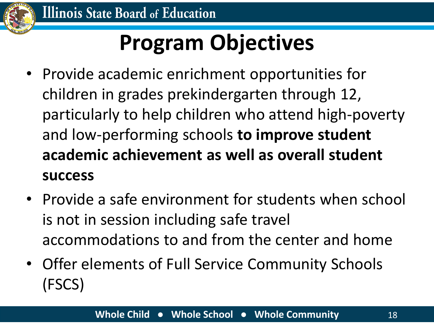

# **Program Objectives**

- Provide academic enrichment opportunities for children in grades prekindergarten through 12, particularly to help children who attend high-poverty and low-performing schools **to improve student academic achievement as well as overall student success**
- Provide a safe environment for students when school is not in session including safe travel accommodations to and from the center and home
- Offer elements of Full Service Community Schools (FSCS)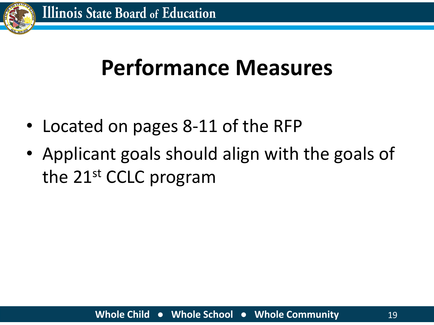

### **Performance Measures**

- Located on pages 8-11 of the RFP
- Applicant goals should align with the goals of the 21st CCLC program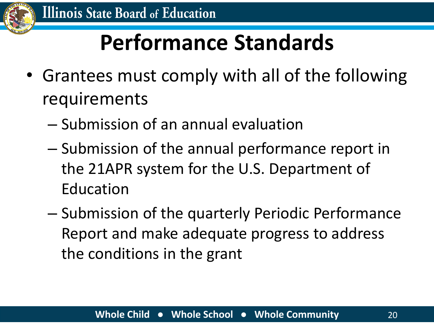

# **Performance Standards**

- Grantees must comply with all of the following requirements
	- Submission of an annual evaluation
	- Submission of the annual performance report in the 21APR system for the U.S. Department of Education
	- Submission of the quarterly Periodic Performance Report and make adequate progress to address the conditions in the grant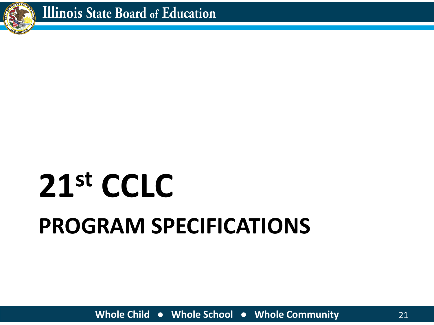

# **PROGRAM SPECIFICATIONS 21st CCLC**

**Whole Child ● Whole School ● Whole Community** 21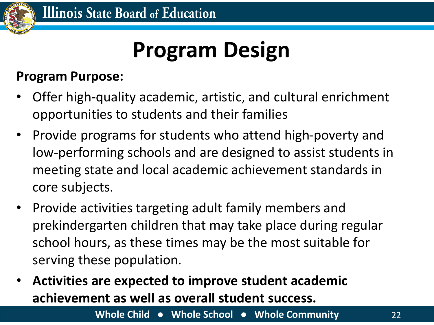

### **Program Design**

#### **Program Purpose:**

- Offer high-quality academic, artistic, and cultural enrichment opportunities to students and their families
- Provide programs for students who attend high-poverty and low-performing schools and are designed to assist students in meeting state and local academic achievement standards in core subjects.
- Provide activities targeting adult family members and prekindergarten children that may take place during regular school hours, as these times may be the most suitable for serving these population.
- **Activities are expected to improve student academic achievement as well as overall student success.**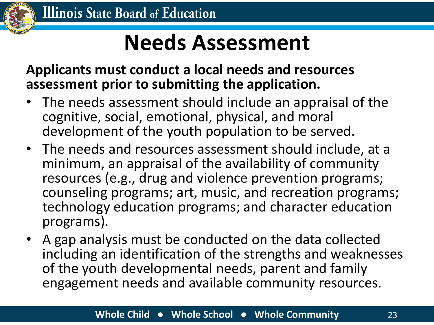

### **Needs Assessment**

**Applicants must conduct a local needs and resources assessment prior to submitting the application.**

- The needs assessment should include an appraisal of the cognitive, social, emotional, physical, and moral development of the youth population to be served.
- The needs and resources assessment should include, at a minimum, an appraisal of the availability of community resources (e.g., drug and violence prevention programs; counseling programs; art, music, and recreation programs; technology education programs; and character education programs).
- A gap analysis must be conducted on the data collected including an identification of the strengths and weaknesses of the youth developmental needs, parent and family engagement needs and available community resources.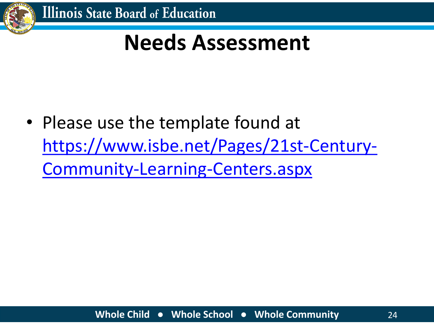

### **Needs Assessment**

• Please use the template found at [https://www.isbe.net/Pages/21st-Century-](https://www.isbe.net/Pages/21st-Century-Community-Learning-Centers.aspx)Community-Learning-Centers.aspx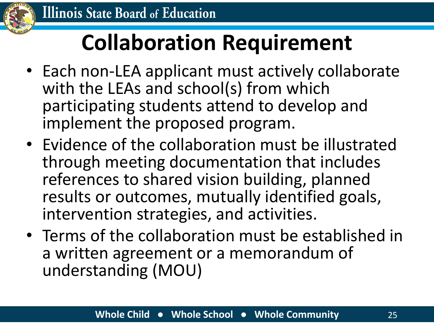

# **Collaboration Requirement**

- Each non-LEA applicant must actively collaborate with the LEAs and school(s) from which participating students attend to develop and implement the proposed program.
- Evidence of the collaboration must be illustrated through meeting documentation that includes references to shared vision building, planned results or outcomes, mutually identified goals, intervention strategies, and activities.
- Terms of the collaboration must be established in a written agreement or a memorandum of understanding (MOU)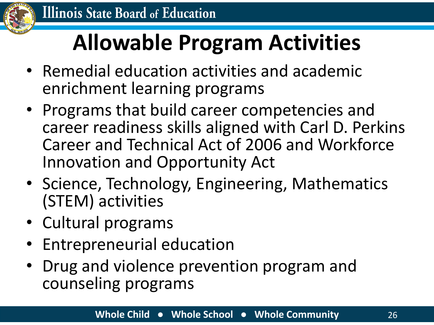

# **Allowable Program Activities**

- Remedial education activities and academic enrichment learning programs
- Programs that build career competencies and career readiness skills aligned with Carl D. Perkins Career and Technical Act of 2006 and Workforce Innovation and Opportunity Act
- Science, Technology, Engineering, Mathematics (STEM) activities
- Cultural programs
- Entrepreneurial education
- Drug and violence prevention program and counseling programs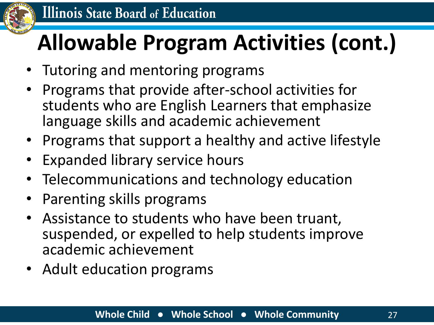

# **Allowable Program Activities (cont.)**

- Tutoring and mentoring programs
- Programs that provide after-school activities for students who are English Learners that emphasize language skills and academic achievement
- Programs that support a healthy and active lifestyle
- **Expanded library service hours**
- Telecommunications and technology education
- Parenting skills programs
- Assistance to students who have been truant, suspended, or expelled to help students improve academic achievement
- Adult education programs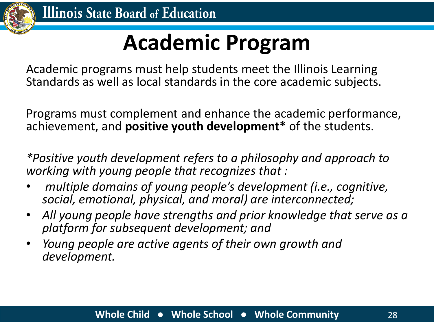

### **Academic Program**

Academic programs must help students meet the Illinois Learning Standards as well as local standards in the core academic subjects.

Programs must complement and enhance the academic performance, achievement, and **positive youth development\*** of the students.

*\*Positive youth development refers to a philosophy and approach to working with young people that recognizes that :*

- *multiple domains of young people's development (i.e., cognitive, social, emotional, physical, and moral) are interconnected;*
- *All young people have strengths and prior knowledge that serve as a platform for subsequent development; and*
- *Young people are active agents of their own growth and development.*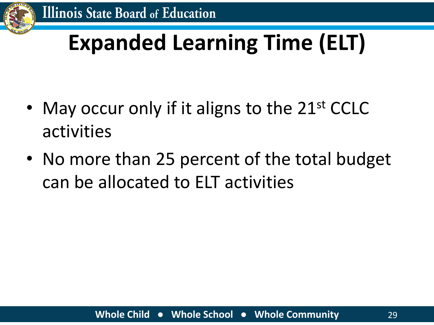

# **Expanded Learning Time (ELT)**

- May occur only if it aligns to the 21<sup>st</sup> CCLC activities
- No more than 25 percent of the total budget can be allocated to ELT activities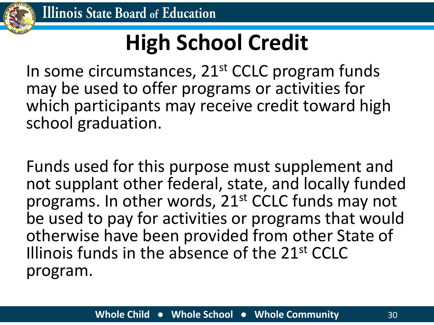

# **High School Credit**

In some circumstances, 21<sup>st</sup> CCLC program funds may be used to offer programs or activities for which participants may receive credit toward high school graduation.

Funds used for this purpose must supplement and not supplant other federal, state, and locally funded programs. In other words, 21<sup>st</sup> CCLC funds may not be used to pay for activities or programs that would otherwise have been provided from other State of Illinois funds in the absence of the 21st CCLC program.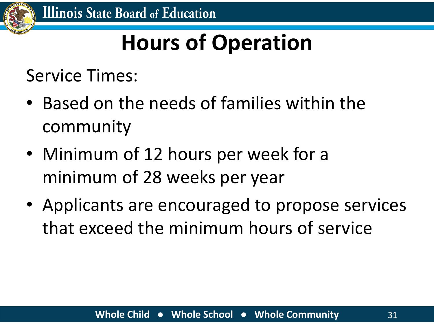

# **Hours of Operation**

Service Times:

- Based on the needs of families within the community
- Minimum of 12 hours per week for a minimum of 28 weeks per year
- Applicants are encouraged to propose services that exceed the minimum hours of service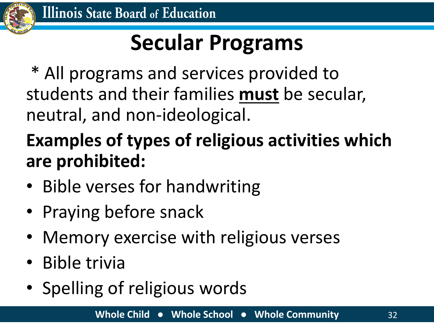

# **Secular Programs**

\* All programs and services provided to students and their families **must** be secular, neutral, and non-ideological.

### **Examples of types of religious activities which are prohibited:**

- Bible verses for handwriting
- Praying before snack
- Memory exercise with religious verses
- Bible trivia
- Spelling of religious words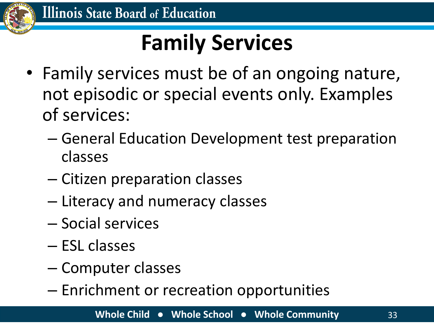

# **Family Services**

- Family services must be of an ongoing nature, not episodic or special events only. Examples of services:
	- General Education Development test preparation classes
	- Citizen preparation classes
	- Literacy and numeracy classes
	- Social services
	- ESL classes
	- Computer classes
	- Enrichment or recreation opportunities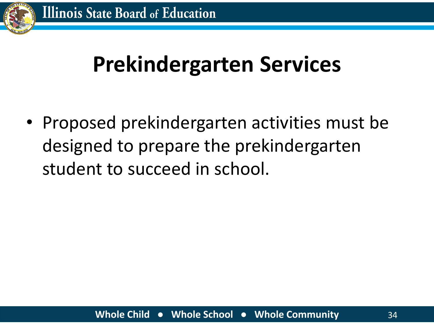

### **Prekindergarten Services**

• Proposed prekindergarten activities must be designed to prepare the prekindergarten student to succeed in school.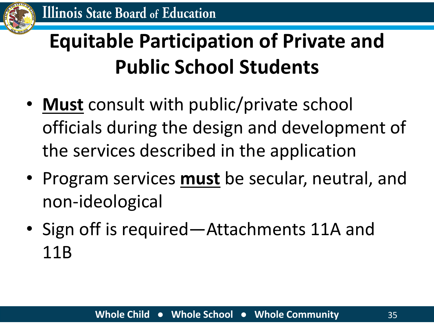

### **Equitable Participation of Private and Public School Students**

- **Must** consult with public/private school officials during the design and development of the services described in the application
- Program services **must** be secular, neutral, and non-ideological
- Sign off is required—Attachments 11A and 11B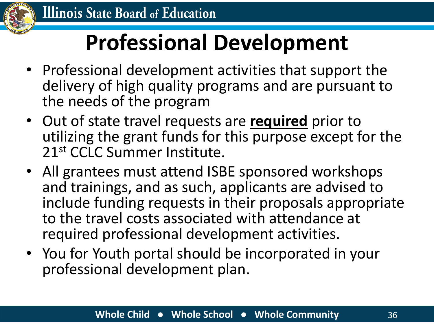

# **Professional Development**

- Professional development activities that support the delivery of high quality programs and are pursuant to the needs of the program
- Out of state travel requests are **required** prior to utilizing the grant funds for this purpose except for the 21st CCLC Summer Institute.
- All grantees must attend ISBE sponsored workshops and trainings, and as such, applicants are advised to include funding requests in their proposals appropriate to the travel costs associated with attendance at required professional development activities.
- You for Youth portal should be incorporated in your professional development plan.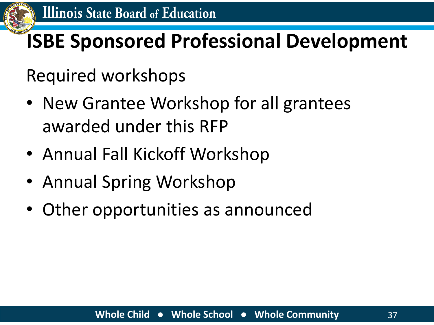

#### **ISBE Sponsored Professional Development**

Required workshops

- New Grantee Workshop for all grantees awarded under this RFP
- Annual Fall Kickoff Workshop
- Annual Spring Workshop
- Other opportunities as announced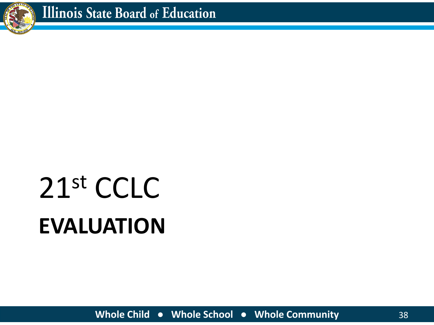

# **EVALUATION** 21st CCLC

**Whole Child ● Whole School ● Whole Community** 38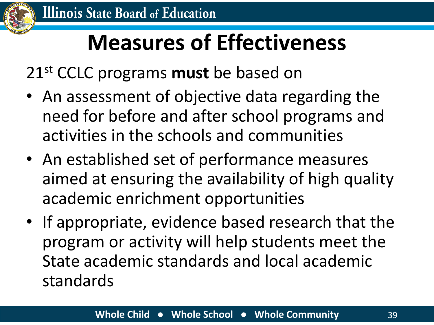

#### **Measures of Effectiveness**

21st CCLC programs **must** be based on

- An assessment of objective data regarding the need for before and after school programs and activities in the schools and communities
- An established set of performance measures aimed at ensuring the availability of high quality academic enrichment opportunities
- If appropriate, evidence based research that the program or activity will help students meet the State academic standards and local academic standards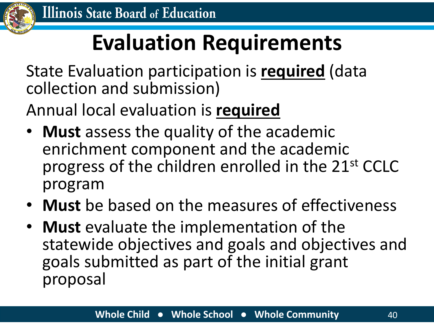

### **Evaluation Requirements**

State Evaluation participation is **required** (data collection and submission)

Annual local evaluation is **required**

- **Must** assess the quality of the academic enrichment component and the academic progress of the children enrolled in the 21st CCLC program
- **Must** be based on the measures of effectiveness
- **Must** evaluate the implementation of the statewide objectives and goals and objectives and goals submitted as part of the initial grant proposal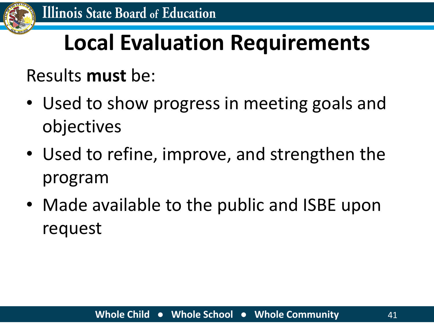

## **Local Evaluation Requirements**

#### Results **must** be:

- Used to show progress in meeting goals and objectives
- Used to refine, improve, and strengthen the program
- Made available to the public and ISBE upon request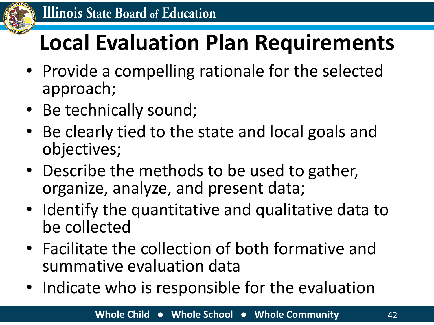

## **Local Evaluation Plan Requirements**

- Provide a compelling rationale for the selected approach;
- Be technically sound;
- Be clearly tied to the state and local goals and objectives;
- Describe the methods to be used to gather, organize, analyze, and present data;
- Identify the quantitative and qualitative data to be collected
- Facilitate the collection of both formative and summative evaluation data
- Indicate who is responsible for the evaluation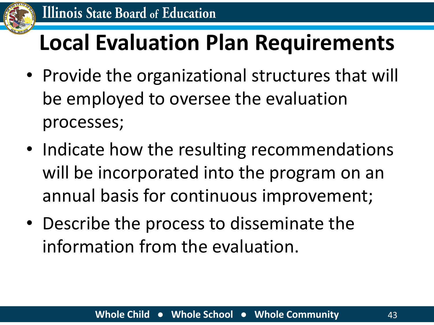

#### **Local Evaluation Plan Requirements**

- Provide the organizational structures that will be employed to oversee the evaluation processes;
- Indicate how the resulting recommendations will be incorporated into the program on an annual basis for continuous improvement;
- Describe the process to disseminate the information from the evaluation.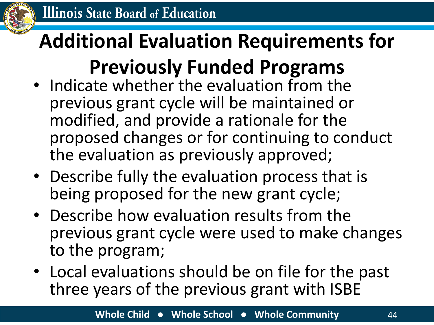

#### **Additional Evaluation Requirements for Previously Funded Programs**

- Indicate whether the evaluation from the previous grant cycle will be maintained or modified, and provide a rationale for the proposed changes or for continuing to conduct the evaluation as previously approved;
- Describe fully the evaluation process that is being proposed for the new grant cycle;
- Describe how evaluation results from the previous grant cycle were used to make changes to the program;
- Local evaluations should be on file for the past three years of the previous grant with ISBE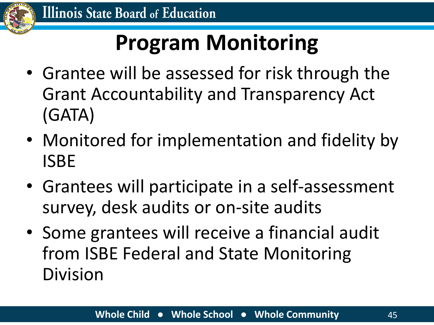

## **Program Monitoring**

- Grantee will be assessed for risk through the Grant Accountability and Transparency Act (GATA)
- Monitored for implementation and fidelity by ISBE
- Grantees will participate in a self-assessment survey, desk audits or on-site audits
- Some grantees will receive a financial audit from ISBE Federal and State Monitoring Division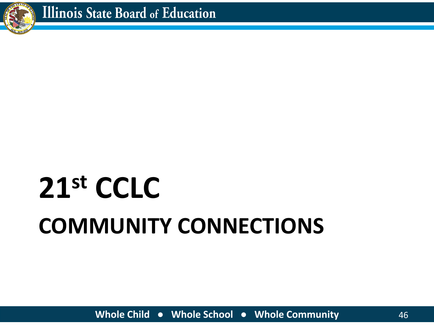

# **COMMUNITY CONNECTIONS 21st CCLC**

**Whole Child ● Whole School ● Whole Community** 46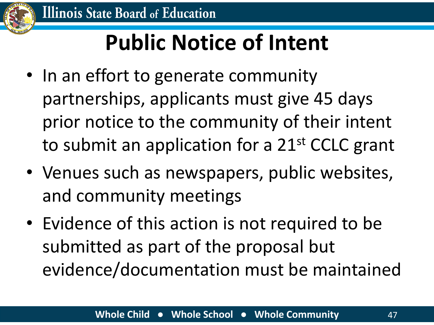

## **Public Notice of Intent**

- In an effort to generate community partnerships, applicants must give 45 days prior notice to the community of their intent to submit an application for a 21<sup>st</sup> CCLC grant
- Venues such as newspapers, public websites, and community meetings
- Evidence of this action is not required to be submitted as part of the proposal but evidence/documentation must be maintained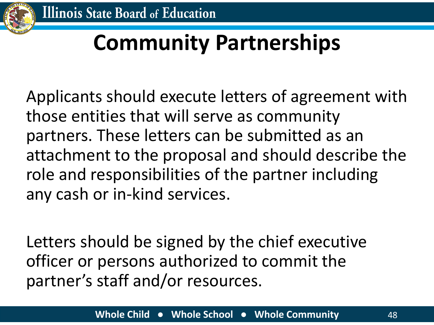

## **Community Partnerships**

Applicants should execute letters of agreement with those entities that will serve as community partners. These letters can be submitted as an attachment to the proposal and should describe the role and responsibilities of the partner including any cash or in-kind services.

Letters should be signed by the chief executive officer or persons authorized to commit the partner's staff and/or resources.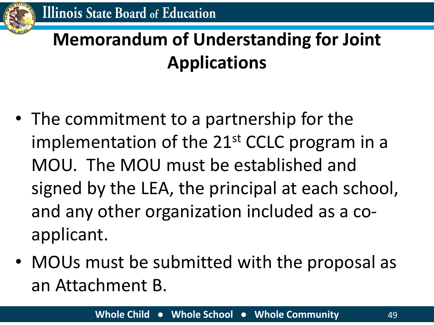#### **Memorandum of Understanding for Joint Applications**

- The commitment to a partnership for the implementation of the 21<sup>st</sup> CCLC program in a MOU. The MOU must be established and signed by the LEA, the principal at each school, and any other organization included as a coapplicant.
- MOUs must be submitted with the proposal as an Attachment B.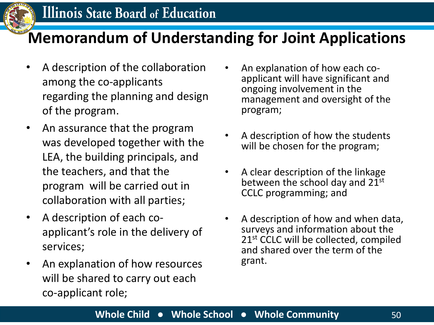

#### **Memorandum of Understanding for Joint Applications**

- A description of the collaboration among the co-applicants regarding the planning and design of the program.
- An assurance that the program was developed together with the LEA, the building principals, and the teachers, and that the program will be carried out in collaboration with all parties;
- A description of each coapplicant's role in the delivery of services;
- An explanation of how resources will be shared to carry out each co-applicant role;
- An explanation of how each coapplicant will have significant and ongoing involvement in the management and oversight of the program;
- A description of how the students will be chosen for the program;
- A clear description of the linkage between the school day and 21st CCLC programming; and
- A description of how and when data, surveys and information about the 21<sup>st</sup> CCLC will be collected, compiled and shared over the term of the grant.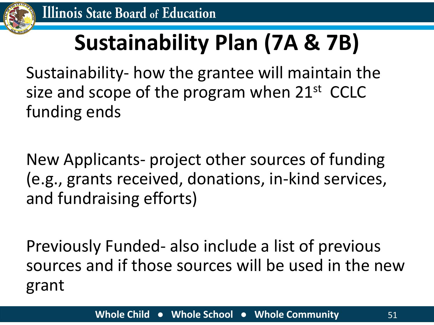

## **Sustainability Plan (7A & 7B)**

Sustainability- how the grantee will maintain the size and scope of the program when 21<sup>st</sup> CCLC funding ends

New Applicants- project other sources of funding (e.g., grants received, donations, in-kind services, and fundraising efforts)

Previously Funded- also include a list of previous sources and if those sources will be used in the new grant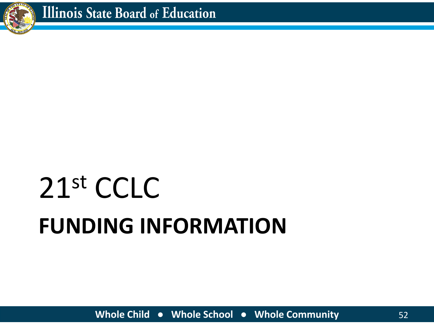

# **FUNDING INFORMATION** 21st CCLC

**Whole Child ● Whole School ● Whole Community** 52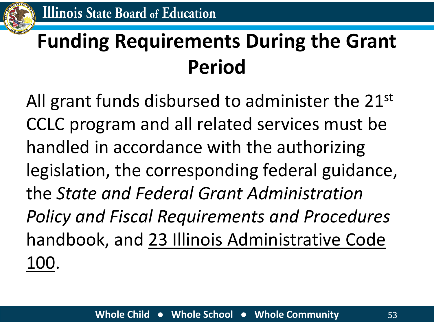

#### **Funding Requirements During the Grant Period**

All grant funds disbursed to administer the 21<sup>st</sup> CCLC program and all related services must be handled in accordance with the authorizing legislation, the corresponding federal guidance, the *State and Federal Grant Administration Policy and Fiscal Requirements and Procedures*  handbook, and 23 Illinois Administrative Code 100.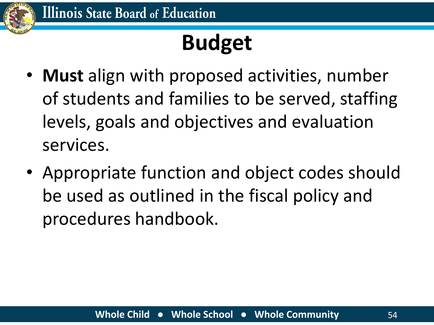

## **Budget**

- **Must** align with proposed activities, number of students and families to be served, staffing levels, goals and objectives and evaluation services.
- Appropriate function and object codes should be used as outlined in the fiscal policy and procedures handbook.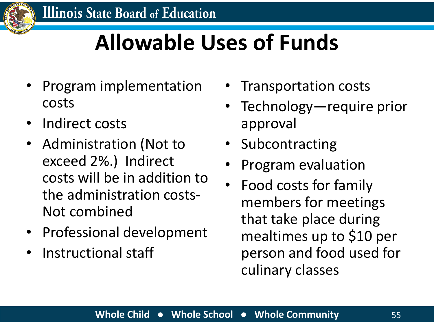

### **Allowable Uses of Funds**

- Program implementation costs
- Indirect costs
- Administration (Not to exceed 2%.) Indirect costs will be in addition to the administration costs-Not combined
- Professional development
- Instructional staff
- Transportation costs
- Technology—require prior approval
- Subcontracting
- Program evaluation
- Food costs for family members for meetings that take place during mealtimes up to \$10 per person and food used for culinary classes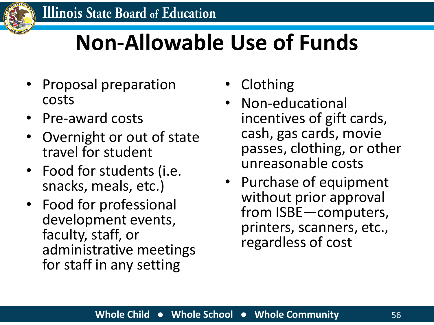

#### **Non-Allowable Use of Funds**

- Proposal preparation costs
- Pre-award costs
- Overnight or out of state travel for student
- Food for students (i.e. snacks, meals, etc.)
- Food for professional development events, faculty, staff, or administrative meetings for staff in any setting
- Clothing
- Non-educational incentives of gift cards, cash, gas cards, movie passes, clothing, or other unreasonable costs
- Purchase of equipment without prior approval from ISBE—computers, printers, scanners, etc., regardless of cost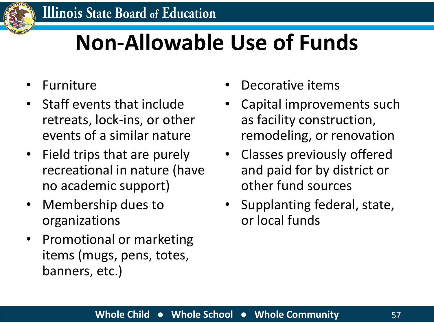

#### **Non-Allowable Use of Funds**

- **Furniture**
- Staff events that include retreats, lock-ins, or other events of a similar nature
- Field trips that are purely recreational in nature (have no academic support)
- Membership dues to organizations
- Promotional or marketing items (mugs, pens, totes, banners, etc.)
- Decorative items
- Capital improvements such as facility construction, remodeling, or renovation
- Classes previously offered and paid for by district or other fund sources
- Supplanting federal, state, or local funds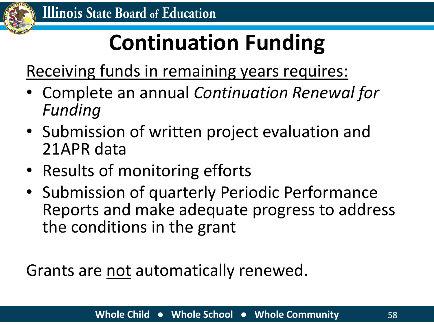

## **Continuation Funding**

Receiving funds in remaining years requires:

- Complete an annual *Continuation Renewal for Funding*
- Submission of written project evaluation and 21APR data
- Results of monitoring efforts
- Submission of quarterly Periodic Performance Reports and make adequate progress to address the conditions in the grant

Grants are not automatically renewed.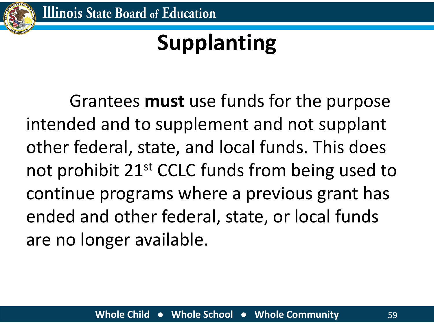

## **Supplanting**

Grantees **must** use funds for the purpose intended and to supplement and not supplant other federal, state, and local funds. This does not prohibit 21<sup>st</sup> CCLC funds from being used to continue programs where a previous grant has ended and other federal, state, or local funds are no longer available.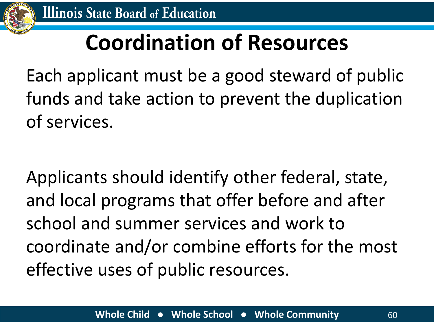

#### **Coordination of Resources**

Each applicant must be a good steward of public funds and take action to prevent the duplication of services.

Applicants should identify other federal, state, and local programs that offer before and after school and summer services and work to coordinate and/or combine efforts for the most effective uses of public resources.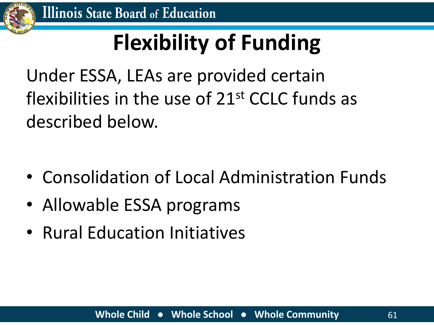

## **Flexibility of Funding**

Under ESSA, LEAs are provided certain flexibilities in the use of 21st CCLC funds as described below.

- Consolidation of Local Administration Funds
- Allowable ESSA programs
- Rural Education Initiatives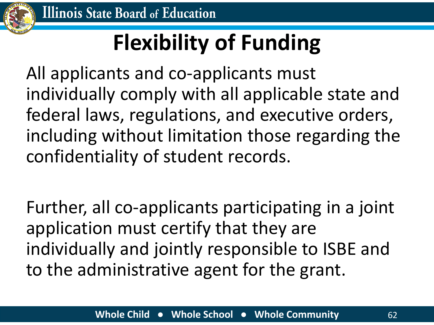

## **Flexibility of Funding**

All applicants and co-applicants must individually comply with all applicable state and federal laws, regulations, and executive orders, including without limitation those regarding the confidentiality of student records.

Further, all co-applicants participating in a joint application must certify that they are individually and jointly responsible to ISBE and to the administrative agent for the grant.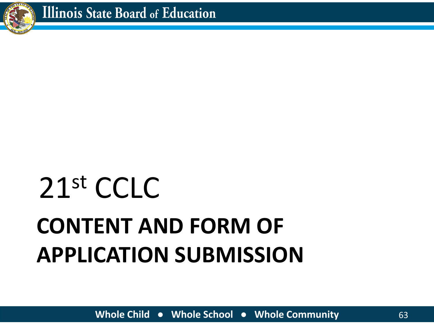# **CONTENT AND FORM OF APPLICATION SUBMISSION**



21st CCLC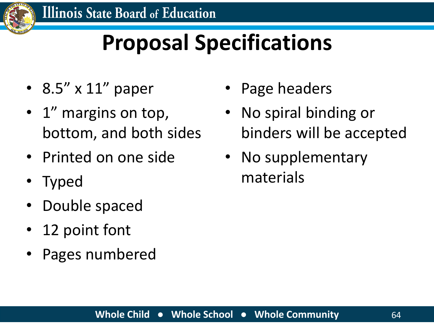

## **Proposal Specifications**

- 8.5" x 11" paper
- 1<sup>"</sup> margins on top, bottom, and both sides
- Printed on one side
- Typed
- Double spaced
- 12 point font
- Pages numbered
- Page headers
- No spiral binding or binders will be accepted
- No supplementary materials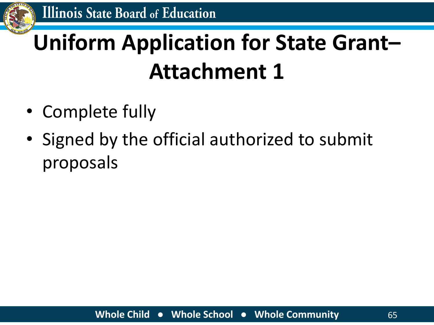

## **Uniform Application for State Grant– Attachment 1**

- Complete fully
- Signed by the official authorized to submit proposals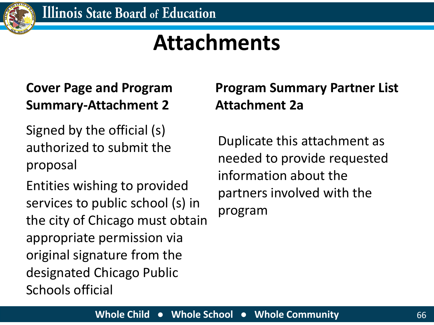

#### **Attachments**

#### **Cover Page and Program Summary-Attachment 2**

Signed by the official (s) authorized to submit the proposal

Entities wishing to provided services to public school (s) in the city of Chicago must obtain appropriate permission via original signature from the designated Chicago Public Schools official

#### **Program Summary Partner List Attachment 2a**

Duplicate this attachment as needed to provide requested information about the partners involved with the program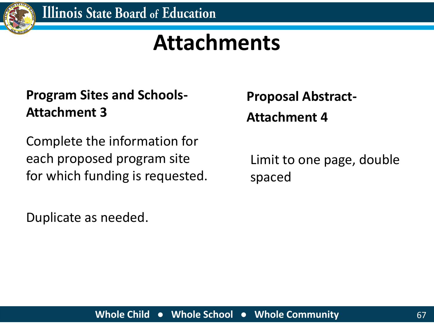

#### **Attachments**

#### **Program Sites and Schools-Attachment 3**

Complete the information for each proposed program site for which funding is requested.

Duplicate as needed.

**Proposal Abstract-Attachment 4**

Limit to one page, double spaced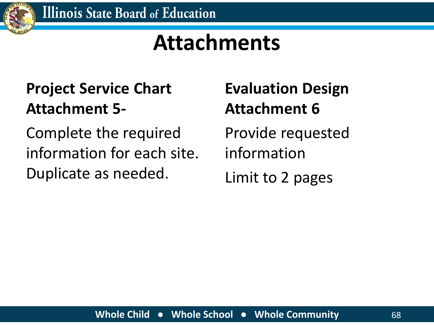

#### **Attachments**

#### **Project Service Chart Attachment 5-**

Complete the required information for each site. Duplicate as needed.

**Evaluation Design Attachment 6**

Provide requested information Limit to 2 pages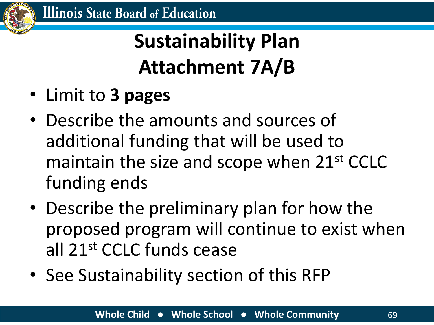

#### **Sustainability Plan Attachment 7A/B**

- Limit to **3 pages**
- Describe the amounts and sources of additional funding that will be used to maintain the size and scope when 21<sup>st</sup> CCLC funding ends
- Describe the preliminary plan for how the proposed program will continue to exist when all 21st CCLC funds cease
- See Sustainability section of this RFP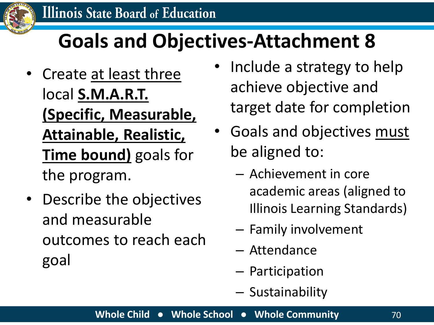

#### **Goals and Objectives-Attachment 8**

- Create at least three local **S.M.A.R.T. (Specific, Measurable, Attainable, Realistic, Time bound)** goals for the program.
- Describe the objectives and measurable outcomes to reach each goal
- Include a strategy to help achieve objective and target date for completion
- Goals and objectives must be aligned to:
	- Achievement in core academic areas (aligned to Illinois Learning Standards)
	- Family involvement
	- Attendance
	- Participation
	- Sustainability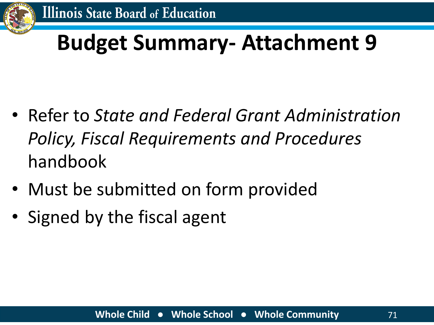

#### **Budget Summary- Attachment 9**

- Refer to *State and Federal Grant Administration Policy, Fiscal Requirements and Procedures*  handbook
- Must be submitted on form provided
- Signed by the fiscal agent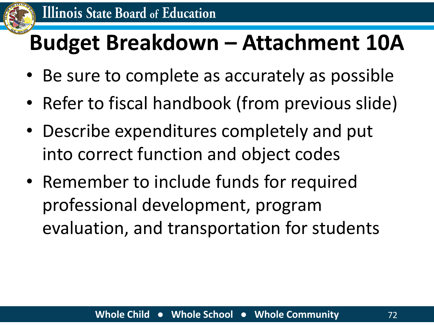

### **Budget Breakdown – Attachment 10A**

- Be sure to complete as accurately as possible
- Refer to fiscal handbook (from previous slide)
- Describe expenditures completely and put into correct function and object codes
- Remember to include funds for required professional development, program evaluation, and transportation for students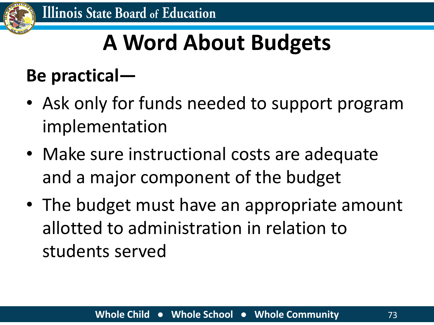

### **A Word About Budgets**

#### **Be practical—**

- Ask only for funds needed to support program implementation
- Make sure instructional costs are adequate and a major component of the budget
- The budget must have an appropriate amount allotted to administration in relation to students served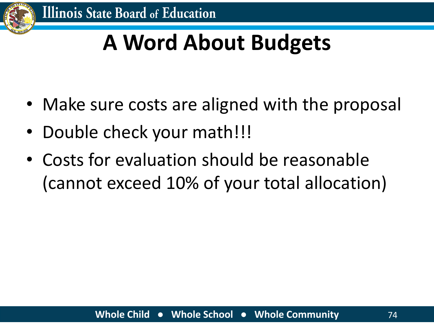

### **A Word About Budgets**

- Make sure costs are aligned with the proposal
- Double check your math!!!
- Costs for evaluation should be reasonable (cannot exceed 10% of your total allocation)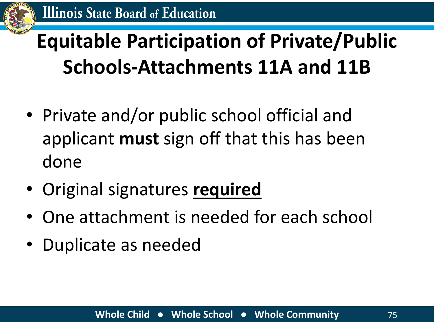

### **Equitable Participation of Private/Public Schools-Attachments 11A and 11B**

- Private and/or public school official and applicant **must** sign off that this has been done
- Original signatures **required**
- One attachment is needed for each school
- Duplicate as needed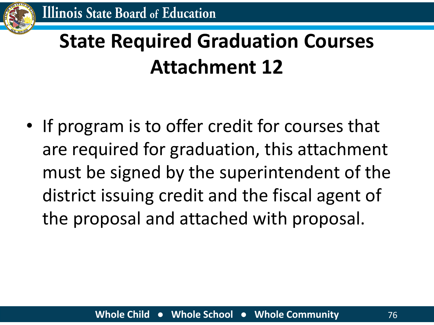### **State Required Graduation Courses Attachment 12**

• If program is to offer credit for courses that are required for graduation, this attachment must be signed by the superintendent of the district issuing credit and the fiscal agent of the proposal and attached with proposal.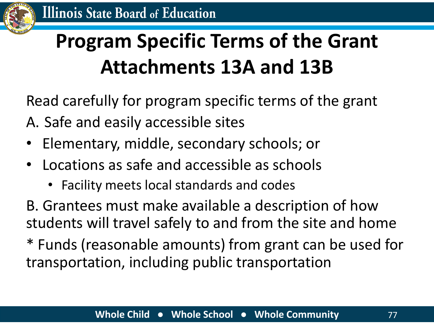### **Program Specific Terms of the Grant Attachments 13A and 13B**

Read carefully for program specific terms of the grant

- A. Safe and easily accessible sites
- Elementary, middle, secondary schools; or
- Locations as safe and accessible as schools
	- Facility meets local standards and codes

B. Grantees must make available a description of how students will travel safely to and from the site and home

\* Funds (reasonable amounts) from grant can be used for transportation, including public transportation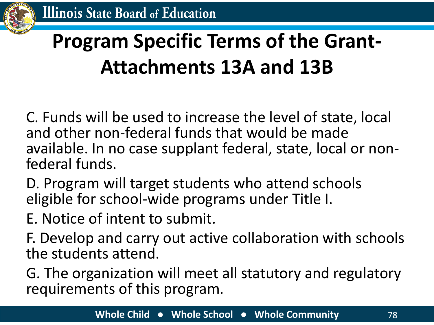### **Program Specific Terms of the Grant-Attachments 13A and 13B**

C. Funds will be used to increase the level of state, local and other non-federal funds that would be made available. In no case supplant federal, state, local or nonfederal funds.

D. Program will target students who attend schools eligible for school-wide programs under Title I.

E. Notice of intent to submit.

F. Develop and carry out active collaboration with schools the students attend.

G. The organization will meet all statutory and regulatory requirements of this program.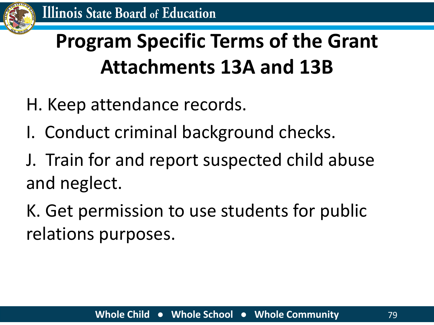

### **Program Specific Terms of the Grant Attachments 13A and 13B**

- H. Keep attendance records.
- I. Conduct criminal background checks.
- J. Train for and report suspected child abuse and neglect.

K. Get permission to use students for public relations purposes.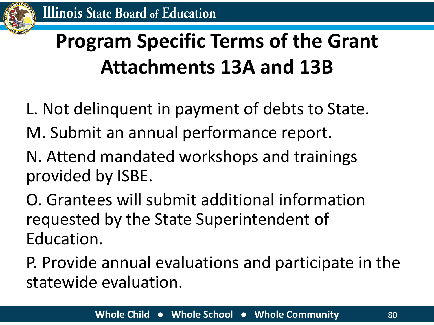### **Program Specific Terms of the Grant Attachments 13A and 13B**

- L. Not delinquent in payment of debts to State.
- M. Submit an annual performance report.
- N. Attend mandated workshops and trainings provided by ISBE.
- O. Grantees will submit additional information requested by the State Superintendent of Education.
- P. Provide annual evaluations and participate in the statewide evaluation.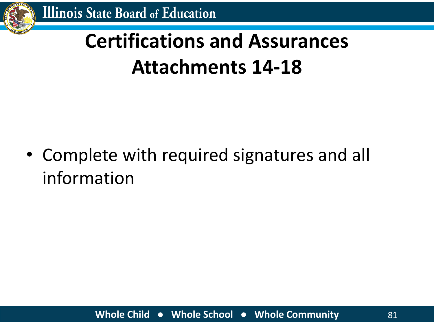

### **Certifications and Assurances Attachments 14-18**

• Complete with required signatures and all information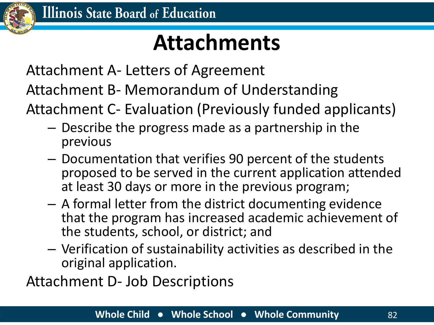

### **Attachments**

Attachment A- Letters of Agreement

Attachment B- Memorandum of Understanding

Attachment C- Evaluation (Previously funded applicants)

- Describe the progress made as a partnership in the previous
- Documentation that verifies 90 percent of the students proposed to be served in the current application attended at least 30 days or more in the previous program;
- A formal letter from the district documenting evidence that the program has increased academic achievement of the students, school, or district; and
- Verification of sustainability activities as described in the original application.

Attachment D- Job Descriptions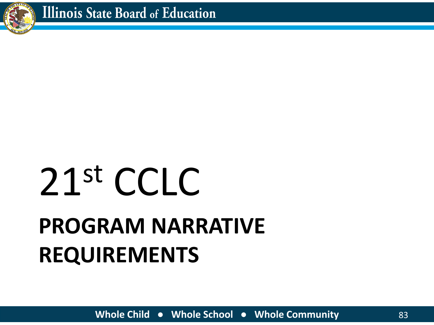

# **PROGRAM NARRATIVE REQUIREMENTS** 21st CCLC

**Whole Child ● Whole School ● Whole Community** 83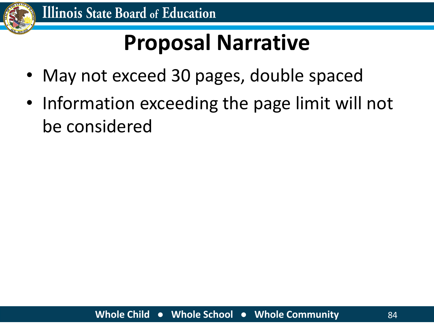

### **Proposal Narrative**

- May not exceed 30 pages, double spaced
- Information exceeding the page limit will not be considered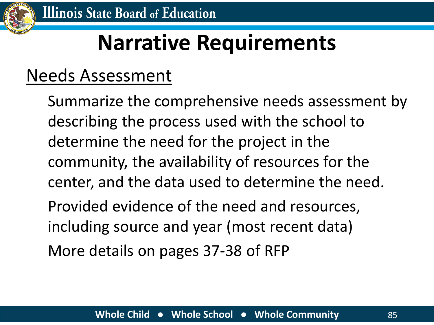

### **Narrative Requirements**

#### Needs Assessment

Summarize the comprehensive needs assessment by describing the process used with the school to determine the need for the project in the community, the availability of resources for the center, and the data used to determine the need. Provided evidence of the need and resources, including source and year (most recent data) More details on pages 37-38 of RFP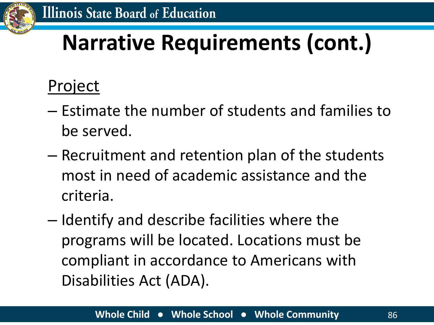

#### Project

- Estimate the number of students and families to be served.
- Recruitment and retention plan of the students most in need of academic assistance and the criteria.
- Identify and describe facilities where the programs will be located. Locations must be compliant in accordance to Americans with Disabilities Act (ADA).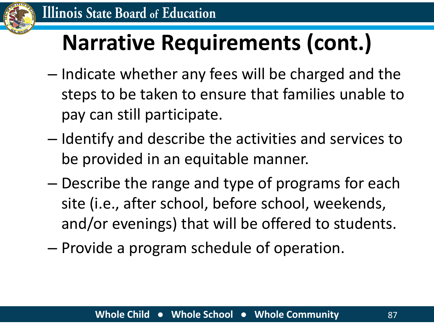

- Indicate whether any fees will be charged and the steps to be taken to ensure that families unable to pay can still participate.
- Identify and describe the activities and services to be provided in an equitable manner.
- Describe the range and type of programs for each site (i.e., after school, before school, weekends, and/or evenings) that will be offered to students.
- Provide a program schedule of operation.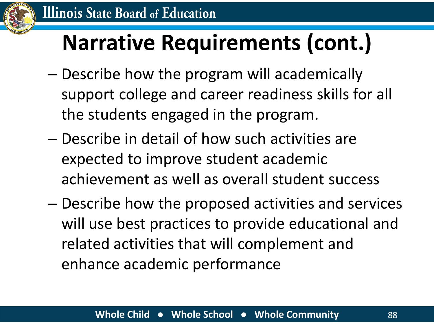

- Describe how the program will academically support college and career readiness skills for all the students engaged in the program.
- Describe in detail of how such activities are expected to improve student academic achievement as well as overall student success
- Describe how the proposed activities and services will use best practices to provide educational and related activities that will complement and enhance academic performance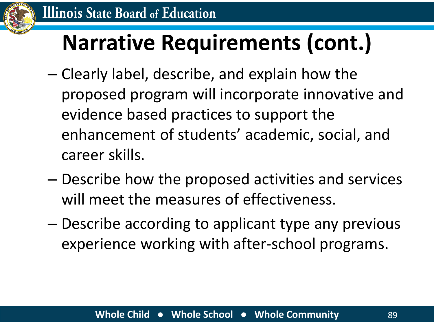

- Clearly label, describe, and explain how the proposed program will incorporate innovative and evidence based practices to support the enhancement of students' academic, social, and career skills.
- Describe how the proposed activities and services will meet the measures of effectiveness.
- Describe according to applicant type any previous experience working with after-school programs.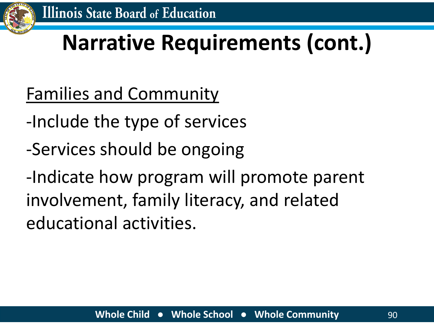

- Families and Community
- -Include the type of services
- -Services should be ongoing

-Indicate how program will promote parent involvement, family literacy, and related educational activities.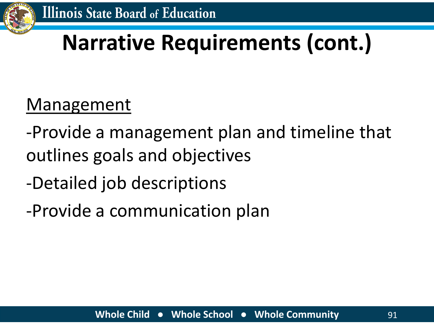

#### Management

- -Provide a management plan and timeline that outlines goals and objectives
- -Detailed job descriptions
- -Provide a communication plan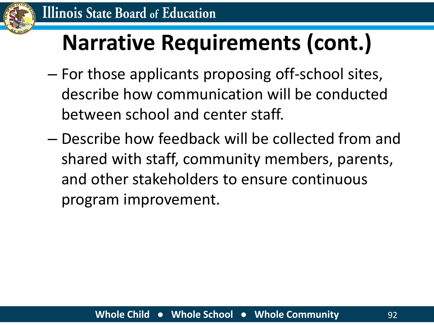

- For those applicants proposing off-school sites, describe how communication will be conducted between school and center staff.
- Describe how feedback will be collected from and shared with staff, community members, parents, and other stakeholders to ensure continuous program improvement.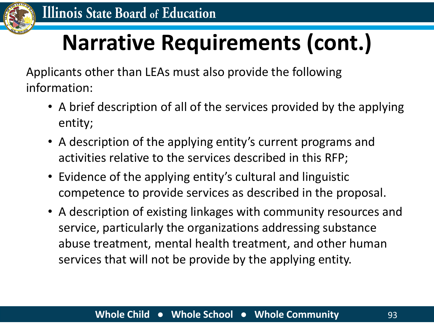

Applicants other than LEAs must also provide the following information:

- A brief description of all of the services provided by the applying entity;
- A description of the applying entity's current programs and activities relative to the services described in this RFP;
- Evidence of the applying entity's cultural and linguistic competence to provide services as described in the proposal.
- A description of existing linkages with community resources and service, particularly the organizations addressing substance abuse treatment, mental health treatment, and other human services that will not be provide by the applying entity.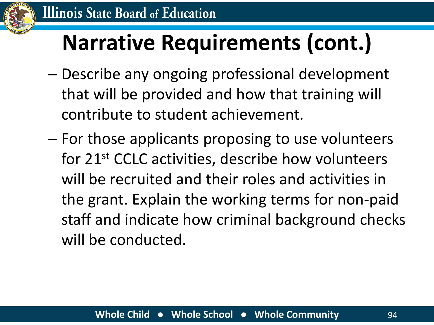

- Describe any ongoing professional development that will be provided and how that training will contribute to student achievement.
- For those applicants proposing to use volunteers for 21st CCLC activities, describe how volunteers will be recruited and their roles and activities in the grant. Explain the working terms for non-paid staff and indicate how criminal background checks will be conducted.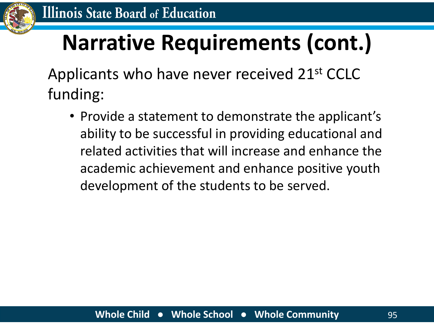

Applicants who have never received 21st CCLC funding:

• Provide a statement to demonstrate the applicant's ability to be successful in providing educational and related activities that will increase and enhance the academic achievement and enhance positive youth development of the students to be served.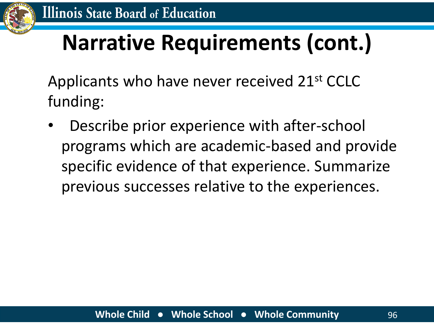

Applicants who have never received 21st CCLC funding:

• Describe prior experience with after-school programs which are academic-based and provide specific evidence of that experience. Summarize previous successes relative to the experiences.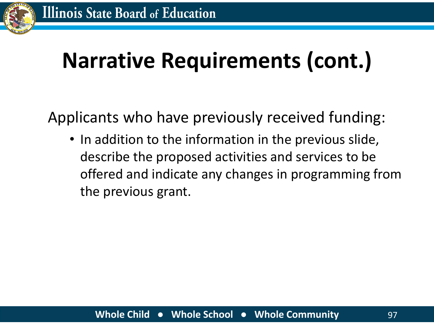

Applicants who have previously received funding:

• In addition to the information in the previous slide, describe the proposed activities and services to be offered and indicate any changes in programming from the previous grant.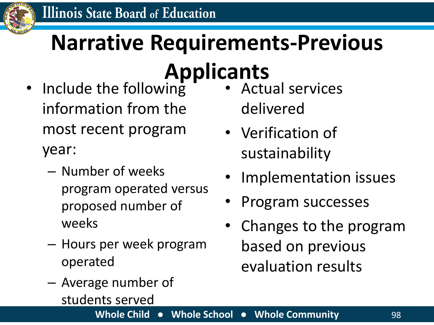

# **Narrative Requirements-Previous**

### **Applicants**

- Include the following information from the most recent program year:
	- Number of weeks program operated versus proposed number of weeks
	- Hours per week program operated
	- Average number of students served
- Actual services delivered
- Verification of sustainability
- Implementation issues
- Program successes
- Changes to the program based on previous evaluation results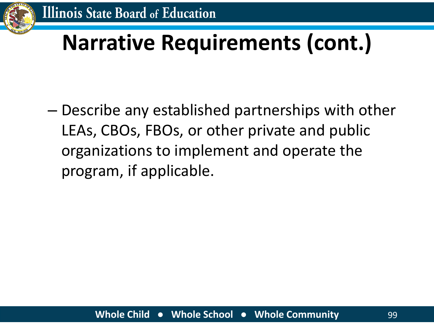

– Describe any established partnerships with other LEAs, CBOs, FBOs, or other private and public organizations to implement and operate the program, if applicable.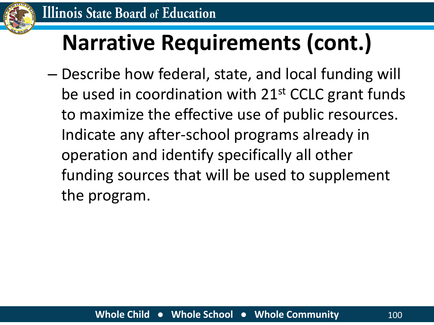

– Describe how federal, state, and local funding will be used in coordination with 21<sup>st</sup> CCLC grant funds to maximize the effective use of public resources. Indicate any after-school programs already in operation and identify specifically all other funding sources that will be used to supplement the program.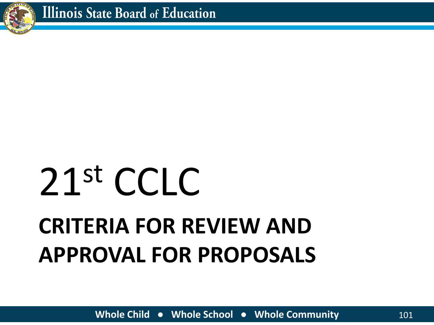

# **CRITERIA FOR REVIEW AND APPROVAL FOR PROPOSALS** 21st CCLC

**Whole Child ● Whole School ● Whole Community** 101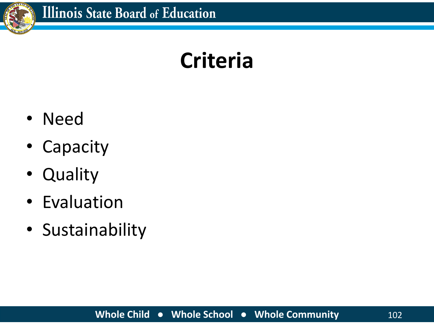

### **Criteria**

- Need
- Capacity
- Quality
- Evaluation
- Sustainability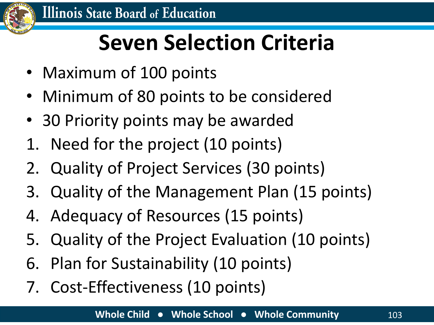

## **Seven Selection Criteria**

- Maximum of 100 points
- Minimum of 80 points to be considered
- 30 Priority points may be awarded
- 1. Need for the project (10 points)
- 2. Quality of Project Services (30 points)
- 3. Quality of the Management Plan (15 points)
- 4. Adequacy of Resources (15 points)
- 5. Quality of the Project Evaluation (10 points)
- 6. Plan for Sustainability (10 points)
- 7. Cost-Effectiveness (10 points)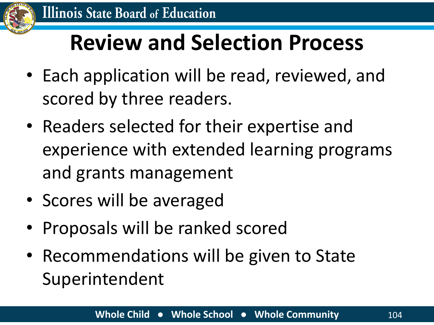

### **Review and Selection Process**

- Each application will be read, reviewed, and scored by three readers.
- Readers selected for their expertise and experience with extended learning programs and grants management
- Scores will be averaged
- Proposals will be ranked scored
- Recommendations will be given to State Superintendent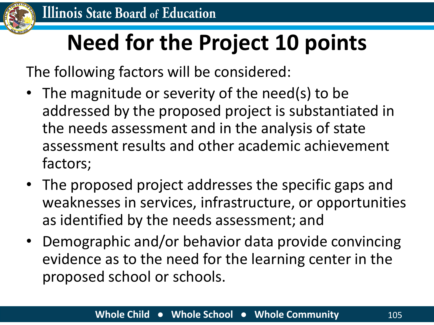

### **Need for the Project 10 points**

The following factors will be considered:

- The magnitude or severity of the need(s) to be addressed by the proposed project is substantiated in the needs assessment and in the analysis of state assessment results and other academic achievement factors;
- The proposed project addresses the specific gaps and weaknesses in services, infrastructure, or opportunities as identified by the needs assessment; and
- Demographic and/or behavior data provide convincing evidence as to the need for the learning center in the proposed school or schools.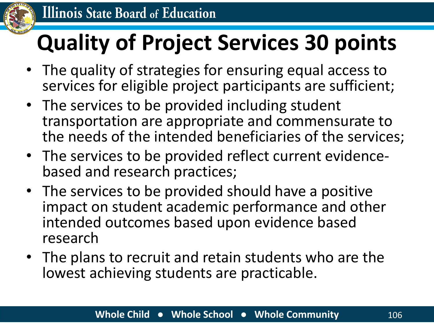

## **Quality of Project Services 30 points**

- The quality of strategies for ensuring equal access to services for eligible project participants are sufficient;
- The services to be provided including student transportation are appropriate and commensurate to the needs of the intended beneficiaries of the services;
- The services to be provided reflect current evidencebased and research practices;
- The services to be provided should have a positive impact on student academic performance and other intended outcomes based upon evidence based research
- The plans to recruit and retain students who are the lowest achieving students are practicable.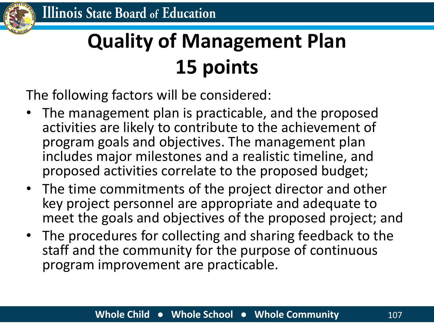

### **Quality of Management Plan 15 points**

The following factors will be considered:

- The management plan is practicable, and the proposed activities are likely to contribute to the achievement of program goals and objectives. The management plan includes major milestones and a realistic timeline, and proposed activities correlate to the proposed budget;
- The time commitments of the project director and other key project personnel are appropriate and adequate to meet the goals and objectives of the proposed project; and
- The procedures for collecting and sharing feedback to the staff and the community for the purpose of continuous program improvement are practicable.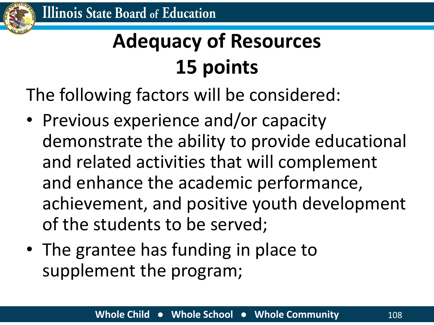

### **Adequacy of Resources 15 points**

The following factors will be considered:

- Previous experience and/or capacity demonstrate the ability to provide educational and related activities that will complement and enhance the academic performance, achievement, and positive youth development of the students to be served;
- The grantee has funding in place to supplement the program;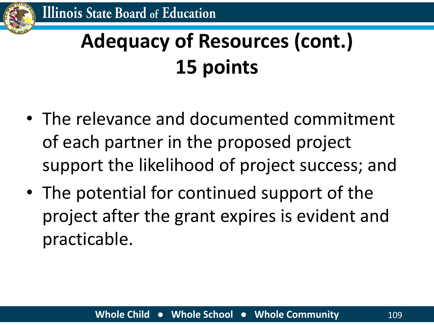### **Adequacy of Resources (cont.) 15 points**

- The relevance and documented commitment of each partner in the proposed project support the likelihood of project success; and
- The potential for continued support of the project after the grant expires is evident and practicable.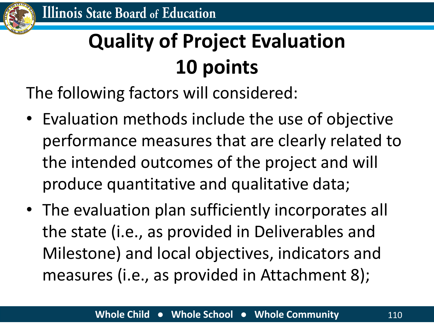### **Quality of Project Evaluation 10 points**

The following factors will considered:

- Evaluation methods include the use of objective performance measures that are clearly related to the intended outcomes of the project and will produce quantitative and qualitative data;
- The evaluation plan sufficiently incorporates all the state (i.e., as provided in Deliverables and Milestone) and local objectives, indicators and measures (i.e., as provided in Attachment 8);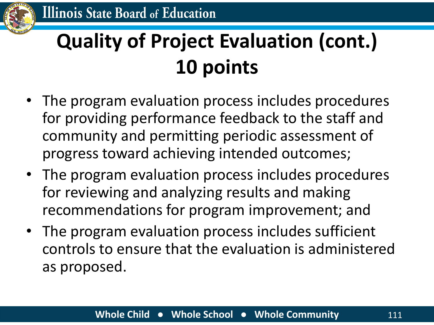

### **Quality of Project Evaluation (cont.) 10 points**

- The program evaluation process includes procedures for providing performance feedback to the staff and community and permitting periodic assessment of progress toward achieving intended outcomes;
- The program evaluation process includes procedures for reviewing and analyzing results and making recommendations for program improvement; and
- The program evaluation process includes sufficient controls to ensure that the evaluation is administered as proposed.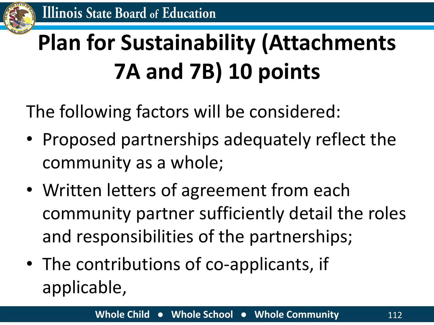

## **Plan for Sustainability (Attachments 7A and 7B) 10 points**

The following factors will be considered:

- Proposed partnerships adequately reflect the community as a whole;
- Written letters of agreement from each community partner sufficiently detail the roles and responsibilities of the partnerships;
- The contributions of co-applicants, if applicable,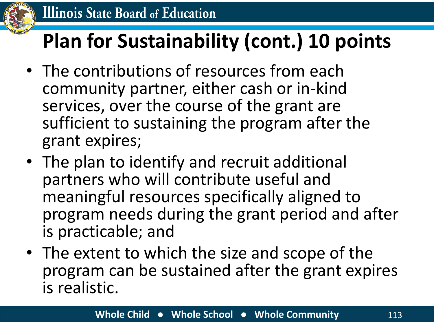

#### **Plan for Sustainability (cont.) 10 points**

- The contributions of resources from each community partner, either cash or in-kind services, over the course of the grant are sufficient to sustaining the program after the grant expires;
- The plan to identify and recruit additional partners who will contribute useful and meaningful resources specifically aligned to program needs during the grant period and after is practicable; and
- The extent to which the size and scope of the program can be sustained after the grant expires is realistic.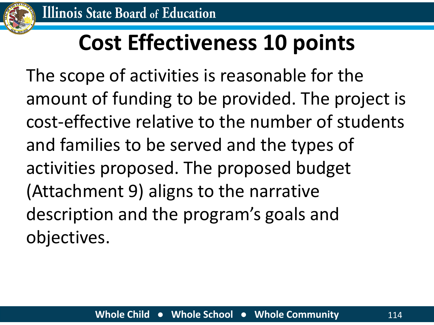

### **Cost Effectiveness 10 points**

The scope of activities is reasonable for the amount of funding to be provided. The project is cost-effective relative to the number of students and families to be served and the types of activities proposed. The proposed budget (Attachment 9) aligns to the narrative description and the program's goals and objectives.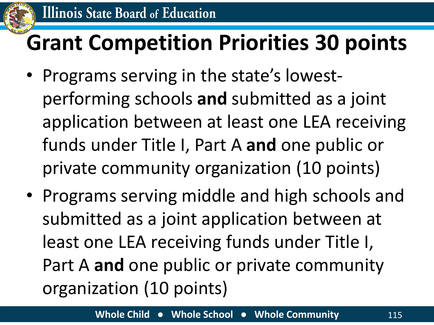

### **Grant Competition Priorities 30 points**

- Programs serving in the state's lowestperforming schools **and** submitted as a joint application between at least one LEA receiving funds under Title I, Part A **and** one public or private community organization (10 points)
- Programs serving middle and high schools and submitted as a joint application between at least one LEA receiving funds under Title I, Part A **and** one public or private community organization (10 points)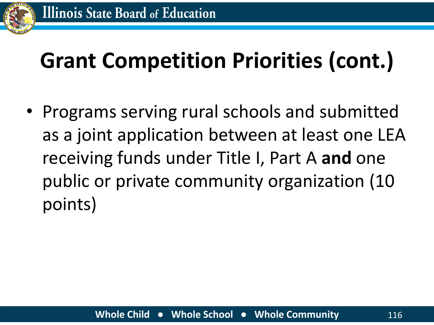

### **Grant Competition Priorities (cont.)**

• Programs serving rural schools and submitted as a joint application between at least one LEA receiving funds under Title I, Part A **and** one public or private community organization (10 points)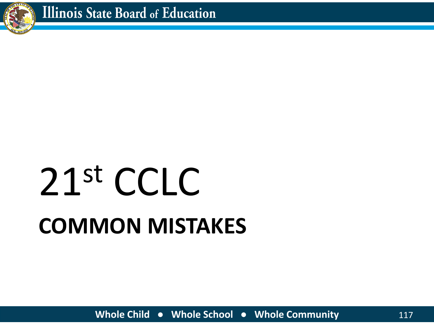

# **COMMON MISTAKES** 21st CCLC

**Whole Child ● Whole School ● Whole Community** 117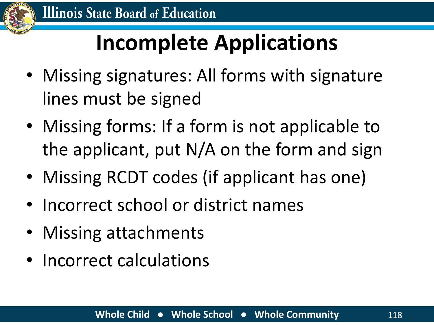

### **Incomplete Applications**

- Missing signatures: All forms with signature lines must be signed
- Missing forms: If a form is not applicable to the applicant, put N/A on the form and sign
- Missing RCDT codes (if applicant has one)
- Incorrect school or district names
- Missing attachments
- Incorrect calculations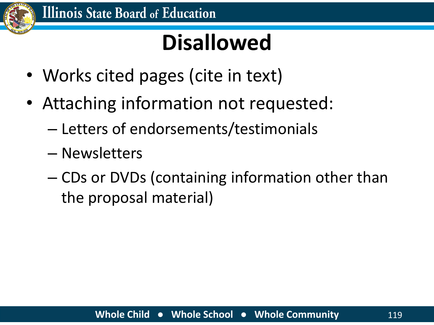

### **Disallowed**

- Works cited pages (cite in text)
- Attaching information not requested:
	- Letters of endorsements/testimonials
	- Newsletters
	- CDs or DVDs (containing information other than the proposal material)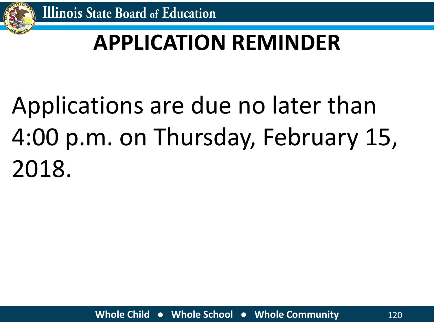

### **APPLICATION REMINDER**

# Applications are due no later than 4:00 p.m. on Thursday, February 15, 2018.

**Whole Child ● Whole School ● Whole Community** 120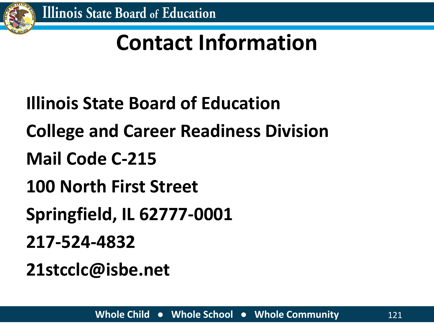

### **Contact Information**

- **Illinois State Board of Education**
- **College and Career Readiness Division**
- **Mail Code C-215**
- **100 North First Street**
- **Springfield, IL 62777-0001**
- **217-524-4832**
- **21stcclc@isbe.net**